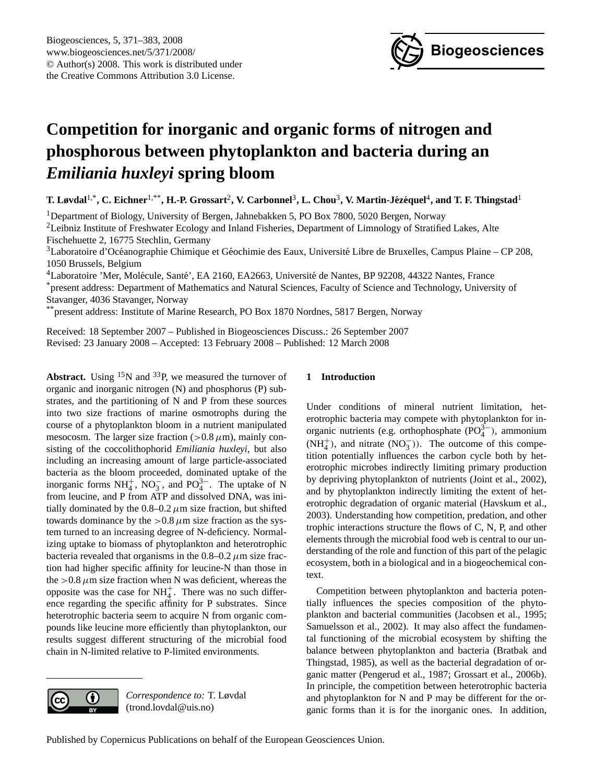

# <span id="page-0-0"></span>**Competition for inorganic and organic forms of nitrogen and phosphorous between phytoplankton and bacteria during an** *Emiliania huxleyi* **spring bloom**

 $\bf{T.}$  Løvdal<sup>1,\*</sup>, C. Eichner<sup>1,\*\*</sup>, **H.-P.** Grossart<sup>2</sup>, V. Carbonnel<sup>3</sup>, L. Chou<sup>3</sup>, V. Martin-Jézéquel<sup>4</sup>, and T. F. Thingstad<sup>1</sup>

<sup>1</sup>Department of Biology, University of Bergen, Jahnebakken 5, PO Box 7800, 5020 Bergen, Norway

<sup>2</sup>Leibniz Institute of Freshwater Ecology and Inland Fisheries, Department of Limnology of Stratified Lakes, Alte Fischehuette 2, 16775 Stechlin, Germany

 $3$ Laboratoire d'Océanographie Chimique et Géochimie des Eaux, Université Libre de Bruxelles, Campus Plaine – CP 208, 1050 Brussels, Belgium

<sup>4</sup>Laboratoire 'Mer, Molécule, Santé', EA 2160, EA2663, Université de Nantes, BP 92208, 44322 Nantes, France

\*present address: Department of Mathematics and Natural Sciences, Faculty of Science and Technology, University of Stavanger, 4036 Stavanger, Norway

\*\*present address: Institute of Marine Research, PO Box 1870 Nordnes, 5817 Bergen, Norway

Received: 18 September 2007 – Published in Biogeosciences Discuss.: 26 September 2007 Revised: 23 January 2008 – Accepted: 13 February 2008 – Published: 12 March 2008

**Abstract.** Using  ${}^{15}N$  and  ${}^{33}P$ , we measured the turnover of organic and inorganic nitrogen (N) and phosphorus (P) substrates, and the partitioning of N and P from these sources into two size fractions of marine osmotrophs during the course of a phytoplankton bloom in a nutrient manipulated mesocosm. The larger size fraction ( $> 0.8 \mu$ m), mainly consisting of the coccolithophorid *Emiliania huxleyi*, but also including an increasing amount of large particle-associated bacteria as the bloom proceeded, dominated uptake of the inorganic forms  $NH_4^+$ ,  $NO_3^-$ , and  $PO_4^{3-}$ . The uptake of N from leucine, and P from ATP and dissolved DNA, was initially dominated by the  $0.8-0.2 \mu m$  size fraction, but shifted towards dominance by the  $>0.8 \mu$ m size fraction as the system turned to an increasing degree of N-deficiency. Normalizing uptake to biomass of phytoplankton and heterotrophic bacteria revealed that organisms in the  $0.8-0.2 \mu$ m size fraction had higher specific affinity for leucine-N than those in the  $>0.8 \mu$ m size fraction when N was deficient, whereas the opposite was the case for  $NH<sub>4</sub><sup>+</sup>$ . There was no such difference regarding the specific affinity for P substrates. Since heterotrophic bacteria seem to acquire N from organic compounds like leucine more efficiently than phytoplankton, our results suggest different structuring of the microbial food chain in N-limited relative to P-limited environments.

# **1 Introduction**

Under conditions of mineral nutrient limitation, heterotrophic bacteria may compete with phytoplankton for inorganic nutrients (e.g. orthophosphate  $(PO<sub>4</sub><sup>3−</sup>)$ , ammonium  $(NH_4^+)$ , and nitrate  $(NO_3^-)$ ). The outcome of this competition potentially influences the carbon cycle both by heterotrophic microbes indirectly limiting primary production by depriving phytoplankton of nutrients (Joint et al., 2002), and by phytoplankton indirectly limiting the extent of heterotrophic degradation of organic material (Havskum et al., 2003). Understanding how competition, predation, and other trophic interactions structure the flows of C, N, P, and other elements through the microbial food web is central to our understanding of the role and function of this part of the pelagic ecosystem, both in a biological and in a biogeochemical context.

Competition between phytoplankton and bacteria potentially influences the species composition of the phytoplankton and bacterial communities (Jacobsen et al., 1995; Samuelsson et al., 2002). It may also affect the fundamental functioning of the microbial ecosystem by shifting the balance between phytoplankton and bacteria (Bratbak and Thingstad, 1985), as well as the bacterial degradation of organic matter (Pengerud et al., 1987; Grossart et al., 2006b). In principle, the competition between heterotrophic bacteria and phytoplankton for N and P may be different for the organic forms than it is for the inorganic ones. In addition,



*Correspondence to:* T. Løvdal (trond.lovdal@uis.no)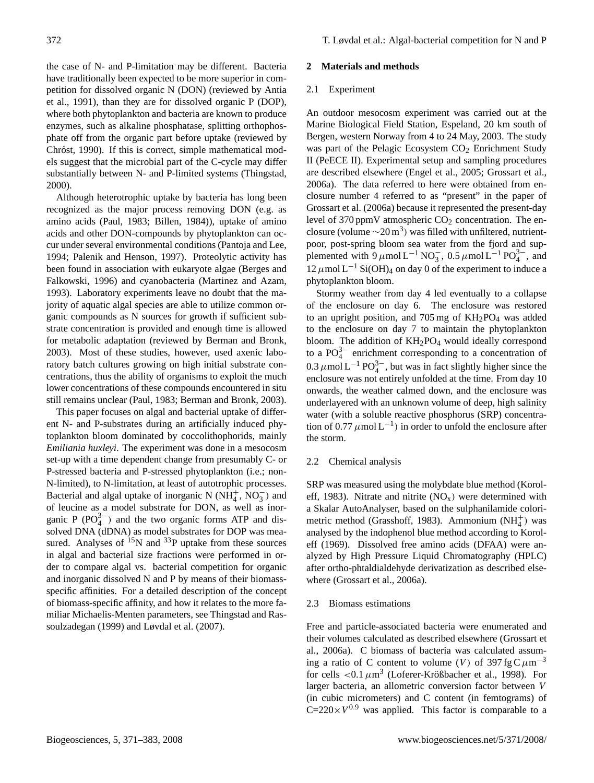the case of N- and P-limitation may be different. Bacteria have traditionally been expected to be more superior in competition for dissolved organic N (DON) (reviewed by Antia et al., 1991), than they are for dissolved organic P (DOP), where both phytoplankton and bacteria are known to produce enzymes, such as alkaline phosphatase, splitting orthophosphate off from the organic part before uptake (reviewed by Chróst, 1990). If this is correct, simple mathematical models suggest that the microbial part of the C-cycle may differ substantially between N- and P-limited systems (Thingstad, 2000).

Although heterotrophic uptake by bacteria has long been recognized as the major process removing DON (e.g. as amino acids (Paul, 1983; Billen, 1984)), uptake of amino acids and other DON-compounds by phytoplankton can occur under several environmental conditions (Pantoja and Lee, 1994; Palenik and Henson, 1997). Proteolytic activity has been found in association with eukaryote algae (Berges and Falkowski, 1996) and cyanobacteria (Martinez and Azam, 1993). Laboratory experiments leave no doubt that the majority of aquatic algal species are able to utilize common organic compounds as N sources for growth if sufficient substrate concentration is provided and enough time is allowed for metabolic adaptation (reviewed by Berman and Bronk, 2003). Most of these studies, however, used axenic laboratory batch cultures growing on high initial substrate concentrations, thus the ability of organisms to exploit the much lower concentrations of these compounds encountered in situ still remains unclear (Paul, 1983; Berman and Bronk, 2003).

This paper focuses on algal and bacterial uptake of different N- and P-substrates during an artificially induced phytoplankton bloom dominated by coccolithophorids, mainly *Emiliania huxleyi*. The experiment was done in a mesocosm set-up with a time dependent change from presumably C- or P-stressed bacteria and P-stressed phytoplankton (i.e.; non-N-limited), to N-limitation, at least of autotrophic processes. Bacterial and algal uptake of inorganic N ( $NH<sub>4</sub><sup>+</sup>$ , NO<sub>3</sub>) and of leucine as a model substrate for DON, as well as inorganic P ( $PO_4^{3-}$ ) and the two organic forms ATP and dissolved DNA (dDNA) as model substrates for DOP was measured. Analyses of  $^{15}N$  and  $^{33}P$  uptake from these sources in algal and bacterial size fractions were performed in order to compare algal vs. bacterial competition for organic and inorganic dissolved N and P by means of their biomassspecific affinities. For a detailed description of the concept of biomass-specific affinity, and how it relates to the more familiar Michaelis-Menten parameters, see Thingstad and Rassoulzadegan (1999) and Løvdal et al. (2007).

#### **2 Materials and methods**

#### 2.1 Experiment

An outdoor mesocosm experiment was carried out at the Marine Biological Field Station, Espeland, 20 km south of Bergen, western Norway from 4 to 24 May, 2003. The study was part of the Pelagic Ecosystem CO<sub>2</sub> Enrichment Study II (PeECE II). Experimental setup and sampling procedures are described elsewhere (Engel et al., 2005; Grossart et al., 2006a). The data referred to here were obtained from enclosure number 4 referred to as "present" in the paper of Grossart et al. (2006a) because it represented the present-day level of 370 ppmV atmospheric  $CO<sub>2</sub>$  concentration. The enclosure (volume  $\sim 20 \,\mathrm{m}^3$ ) was filled with unfiltered, nutrientpoor, post-spring bloom sea water from the fjord and supplemented with  $9 \mu$ mol L<sup>-1</sup> NO<sub>3</sub>, 0.5  $\mu$ mol L<sup>-1</sup> PO<sub>4</sub><sup>3-</sup>, and  $12 \mu$ mol L<sup>-1</sup> Si(OH)<sub>4</sub> on day 0 of the experiment to induce a phytoplankton bloom.

Stormy weather from day 4 led eventually to a collapse of the enclosure on day 6. The enclosure was restored to an upright position, and 705 mg of  $KH_2PO_4$  was added to the enclosure on day 7 to maintain the phytoplankton bloom. The addition of  $KH_2PO_4$  would ideally correspond to a  $PO_4^{3-}$  enrichment corresponding to a concentration of 0.3  $\mu$ mol L<sup>-1</sup> PO<sub>4</sub><sup>3-</sup>, but was in fact slightly higher since the enclosure was not entirely unfolded at the time. From day 10 onwards, the weather calmed down, and the enclosure was underlayered with an unknown volume of deep, high salinity water (with a soluble reactive phosphorus (SRP) concentration of 0.77  $\mu$ mol L<sup>-1</sup>) in order to unfold the enclosure after the storm.

### 2.2 Chemical analysis

SRP was measured using the molybdate blue method (Koroleff, 1983). Nitrate and nitrite  $(NO<sub>x</sub>)$  were determined with a Skalar AutoAnalyser, based on the sulphanilamide colorimetric method (Grasshoff, 1983). Ammonium  $(NH_4^+)$  was analysed by the indophenol blue method according to Koroleff (1969). Dissolved free amino acids (DFAA) were analyzed by High Pressure Liquid Chromatography (HPLC) after ortho-phtaldialdehyde derivatization as described elsewhere (Grossart et al., 2006a).

#### 2.3 Biomass estimations

Free and particle-associated bacteria were enumerated and their volumes calculated as described elsewhere (Grossart et al., 2006a). C biomass of bacteria was calculated assuming a ratio of C content to volume (V) of 397 fg C  $\mu$ m<sup>-3</sup> for cells  $\langle 0.1 \mu m^3 \rangle$  (Loferer-Krößbacher et al., 1998). For larger bacteria, an allometric conversion factor between V (in cubic micrometers) and C content (in femtograms) of  $C=220\times V^{0.9}$  was applied. This factor is comparable to a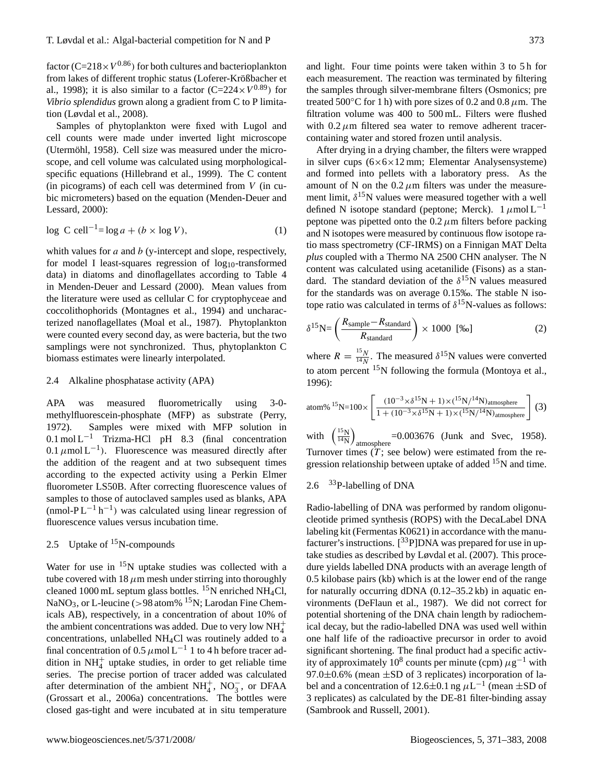factor (C=218 $\times$ V<sup>0.86</sup>) for both cultures and bacterioplankton from lakes of different trophic status (Loferer-Krößbacher et al., 1998); it is also similar to a factor  $(C=224\times V^{0.89})$  for *Vibrio splendidus* grown along a gradient from C to P limitation (Løvdal et al., 2008).

Samples of phytoplankton were fixed with Lugol and cell counts were made under inverted light microscope (Utermöhl, 1958). Cell size was measured under the microscope, and cell volume was calculated using morphologicalspecific equations (Hillebrand et al., 1999). The C content (in picograms) of each cell was determined from  $V$  (in cubic micrometers) based on the equation (Menden-Deuer and Lessard, 2000):

$$
\log C \text{ cell}^{-1} = \log a + (b \times \log V),\tag{1}
$$

whith values for  $a$  and  $b$  (y-intercept and slope, respectively, for model I least-squares regression of  $log_{10}$ -transformed data) in diatoms and dinoflagellates according to Table 4 in Menden-Deuer and Lessard (2000). Mean values from the literature were used as cellular C for cryptophyceae and coccolithophorids (Montagnes et al., 1994) and uncharacterized nanoflagellates (Moal et al., 1987). Phytoplankton were counted every second day, as were bacteria, but the two samplings were not synchronized. Thus, phytoplankton C biomass estimates were linearly interpolated.

## 2.4 Alkaline phosphatase activity (APA)

APA was measured fluorometrically using 3-0 methylfluorescein-phosphate (MFP) as substrate (Perry, 1972). Samples were mixed with MFP solution in  $0.1 \text{ mol L}^{-1}$  Trizma-HCl pH 8.3 (final concentration 0.1  $\mu$ mol L<sup>-1</sup>). Fluorescence was measured directly after the addition of the reagent and at two subsequent times according to the expected activity using a Perkin Elmer fluorometer LS50B. After correcting fluorescence values of samples to those of autoclaved samples used as blanks, APA  $(mmol-PL^{-1}h^{-1})$  was calculated using linear regression of fluorescence values versus incubation time.

# 2.5 Uptake of  $15N$ -compounds

Water for use in <sup>15</sup>N uptake studies was collected with a tube covered with  $18 \mu m$  mesh under stirring into thoroughly cleaned 1000 mL septum glass bottles. <sup>15</sup>N enriched NH<sub>4</sub>Cl, NaNO<sub>3</sub>, or L-leucine ( $>98$  atom% <sup>15</sup>N; Larodan Fine Chemicals AB), respectively, in a concentration of about 10% of the ambient concentrations was added. Due to very low  $NH_4^+$ concentrations, unlabelled NH4Cl was routinely added to a final concentration of 0.5  $\mu$ mol L<sup>-1</sup> 1 to 4 h before tracer addition in  $NH<sub>4</sub><sup>+</sup>$  uptake studies, in order to get reliable time series. The precise portion of tracer added was calculated after determination of the ambient  $NH_4^+$ ,  $NO_3^-$ , or DFAA (Grossart et al., 2006a) concentrations. The bottles were closed gas-tight and were incubated at in situ temperature

and light. Four time points were taken within 3 to 5 h for each measurement. The reaction was terminated by filtering the samples through silver-membrane filters (Osmonics; pre treated 500 $\degree$ C for 1 h) with pore sizes of 0.2 and 0.8  $\mu$ m. The filtration volume was 400 to 500 mL. Filters were flushed with  $0.2 \mu$ m filtered sea water to remove adherent tracercontaining water and stored frozen until analysis.

After drying in a drying chamber, the filters were wrapped in silver cups  $(6 \times 6 \times 12 \text{ mm})$ ; Elementar Analysensysteme) and formed into pellets with a laboratory press. As the amount of N on the  $0.2 \mu m$  filters was under the measurement limit,  $\delta^{15}$ N values were measured together with a well defined N isotope standard (peptone; Merck).  $1 \mu$ mol L<sup>-1</sup> peptone was pipetted onto the  $0.2 \mu m$  filters before packing and N isotopes were measured by continuous flow isotope ratio mass spectrometry (CF-IRMS) on a Finnigan MAT Delta *plus* coupled with a Thermo NA 2500 CHN analyser. The N content was calculated using acetanilide (Fisons) as a standard. The standard deviation of the  $\delta^{15}N$  values measured for the standards was on average 0.15‰. The stable N isotope ratio was calculated in terms of  $\delta^{15}$ N-values as follows:

$$
\delta^{15} \text{N} = \left(\frac{R_{\text{sample}} - R_{\text{standard}}}{R_{\text{standard}}}\right) \times 1000 \text{ [%o]}
$$
 (2)

where  $R = \frac{15N}{14N}$  $\frac{15N}{14N}$ . The measured  $\delta^{15}N$  values were converted to atom percent <sup>15</sup>N following the formula (Montoya et al., 1996):

atom% <sup>15</sup>N=100× 
$$
\left[\frac{(10^{-3} \times \delta^{15} N + 1) \times(^{15} N / ^{14} N)_{\text{atmosphere}}}{1 + (10^{-3} \times \delta^{15} N + 1) \times(^{15} N / ^{14} N)_{\text{atmosphere}}}\right]
$$
 (3)  
with  $\left(\frac{^{15}N}{^{14}N}\right)_{\text{atmosphere}} = 0.003676$  (Junk and Svec, 1958).

atmosphere =0.003676 (Junk and Svec, 1958). Turnover times  $(T)$ ; see below) were estimated from the regression relationship between uptake of added  $15N$  and time.

## 2.6  $33P$ -labelling of DNA

Radio-labelling of DNA was performed by random oligonucleotide primed synthesis (ROPS) with the DecaLabel DNA labeling kit (Fermentas K0621) in accordance with the manufacturer's instructions.  $[{}^{33}P]$ DNA was prepared for use in uptake studies as described by Løvdal et al. (2007). This procedure yields labelled DNA products with an average length of 0.5 kilobase pairs (kb) which is at the lower end of the range for naturally occurring dDNA (0.12–35.2 kb) in aquatic environments (DeFlaun et al., 1987). We did not correct for potential shortening of the DNA chain length by radiochemical decay, but the radio-labelled DNA was used well within one half life of the radioactive precursor in order to avoid significant shortening. The final product had a specific activity of approximately 10<sup>8</sup> counts per minute (cpm)  $\mu$ g<sup>-1</sup> with 97.0 $\pm$ 0.6% (mean  $\pm$ SD of 3 replicates) incorporation of label and a concentration of 12.6±0.1 ng  $\mu L^{-1}$  (mean ±SD of 3 replicates) as calculated by the DE-81 filter-binding assay (Sambrook and Russell, 2001).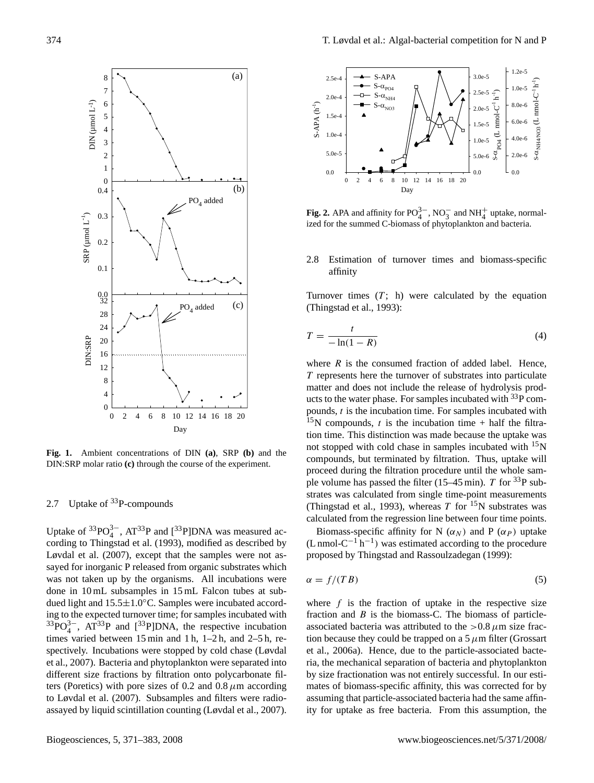

**Fig. 1.** Ambient concentrations of DIN **(a)**, SRP **(b)** and the DIN:SRP molar ratio **(c)** through the course of the experiment.

# 2.7 Uptake of <sup>33</sup>P-compounds

Uptake of  ${}^{33}PO_4^{3-}$ , AT ${}^{33}P$  and  $[{}^{33}P]$ DNA was measured according to Thingstad et al. (1993), modified as described by Løvdal et al. (2007), except that the samples were not assayed for inorganic P released from organic substrates which was not taken up by the organisms. All incubations were done in 10 mL subsamples in 15 mL Falcon tubes at subdued light and 15.5±1.0◦C. Samples were incubated according to the expected turnover time; for samples incubated with  $33^{33}PO_4^{3-}$ , AT<sup>33</sup>P and [<sup>33</sup>P]DNA, the respective incubation times varied between 15 min and 1 h, 1–2 h, and 2–5 h, respectively. Incubations were stopped by cold chase (Løvdal et al., 2007). Bacteria and phytoplankton were separated into different size fractions by filtration onto polycarbonate filters (Poretics) with pore sizes of 0.2 and 0.8  $\mu$ m according to Løvdal et al. (2007). Subsamples and filters were radioassayed by liquid scintillation counting (Løvdal et al., 2007).



**Fig. 2.** APA and affinity for  $PO_4^{3-}$ ,  $NO_3^-$  and  $NH_4^+$  uptake, normalized for the summed C-biomass of phytoplankton and bacteria.

## 2.8 Estimation of turnover times and biomass-specific affinity

Turnover times  $(T; h)$  were calculated by the equation (Thingstad et al., 1993):

$$
T = \frac{t}{-\ln(1-R)}\tag{4}
$$

where  $R$  is the consumed fraction of added label. Hence, T represents here the turnover of substrates into particulate matter and does not include the release of hydrolysis products to the water phase. For samples incubated with  $^{33}P$  compounds,  $t$  is the incubation time. For samples incubated with  $15N$  compounds, t is the incubation time + half the filtration time. This distinction was made because the uptake was not stopped with cold chase in samples incubated with  $15$ N compounds, but terminated by filtration. Thus, uptake will proceed during the filtration procedure until the whole sample volume has passed the filter (15–45 min). T for  ${}^{33}P$  substrates was calculated from single time-point measurements (Thingstad et al., 1993), whereas T for  $^{15}N$  substrates was calculated from the regression line between four time points.

Biomass-specific affinity for N  $(\alpha_N)$  and P  $(\alpha_P)$  uptake  $(L \text{ nmol-C}^{-1} \text{h}^{-1})$  was estimated according to the procedure proposed by Thingstad and Rassoulzadegan (1999):

$$
\alpha = f/(TB) \tag{5}
$$

where  $f$  is the fraction of uptake in the respective size fraction and  $B$  is the biomass-C. The biomass of particleassociated bacteria was attributed to the  $> 0.8 \mu$ m size fraction because they could be trapped on a  $5 \mu m$  filter (Grossart et al., 2006a). Hence, due to the particle-associated bacteria, the mechanical separation of bacteria and phytoplankton by size fractionation was not entirely successful. In our estimates of biomass-specific affinity, this was corrected for by assuming that particle-associated bacteria had the same affinity for uptake as free bacteria. From this assumption, the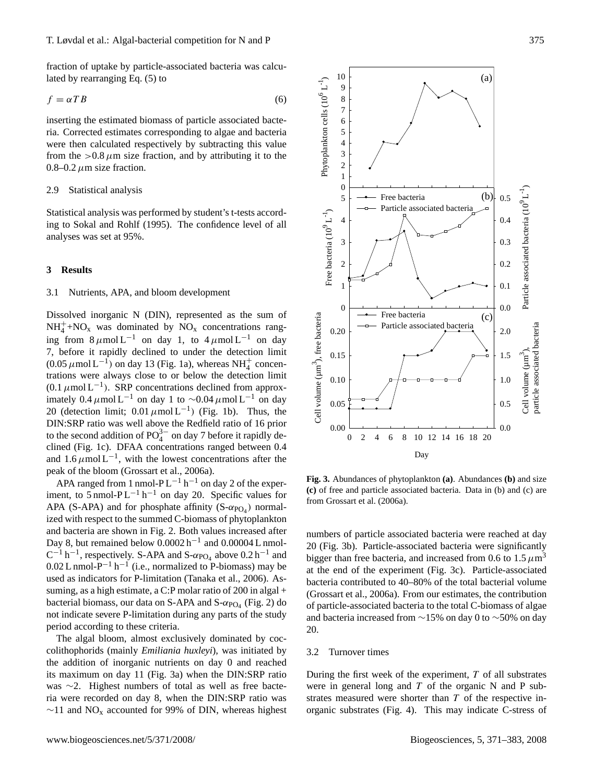fraction of uptake by particle-associated bacteria was calculated by rearranging Eq. (5) to

$$
f = \alpha T B \tag{6}
$$

inserting the estimated biomass of particle associated bacteria. Corrected estimates corresponding to algae and bacteria were then calculated respectively by subtracting this value from the  $>0.8 \mu$ m size fraction, and by attributing it to the 0.8–0.2  $\mu$ m size fraction.

#### 2.9 Statistical analysis

Statistical analysis was performed by student's t-tests according to Sokal and Rohlf (1995). The confidence level of all analyses was set at 95%.

## **3 Results**

## 3.1 Nutrients, APA, and bloom development

Dissolved inorganic N (DIN), represented as the sum of  $NH_4^+$ +NO<sub>x</sub> was dominated by NO<sub>x</sub> concentrations ranging from  $8 \mu \text{mol} L^{-1}$  on day 1, to  $4 \mu \text{mol} L^{-1}$  on day 7, before it rapidly declined to under the detection limit  $(0.05 \mu \text{mol L}^{-1})$  on day 13 (Fig. 1a), whereas NH<sup>+</sup><sub>4</sub> concentrations were always close to or below the detection limit  $(0.1 \mu \text{mol L}^{-1})$ . SRP concentrations declined from approximately 0.4  $\mu$ mol L<sup>-1</sup> on day 1 to ~0.04  $\mu$ mol L<sup>-1</sup> on day 20 (detection limit;  $0.01 \mu$ mol L<sup>-1</sup>) (Fig. 1b). Thus, the DIN:SRP ratio was well above the Redfield ratio of 16 prior to the second addition of  $PO_4^{3-}$  on day 7 before it rapidly declined (Fig. 1c). DFAA concentrations ranged between 0.4 and  $1.6 \mu$ mol L<sup>-1</sup>, with the lowest concentrations after the peak of the bloom (Grossart et al., 2006a). Statstical analysis was performed by student's t-tests according<br>to Sokial and Rohlf (1995). The confidence level of all<br>analyses was set at 95%.<br>
3.1 Nutrients, APA, and bloom development<br>  $\frac{3}{2}$ <br>  $\frac{3}{2}$ <br>  $\frac{3}{2}$ 

APA ranged from 1 nmol-PL<sup>-1</sup> h<sup>-1</sup> on day 2 of the experiment, to  $5 \text{ nmol-PL}^{-1} \text{h}^{-1}$  on day 20. Specific values for APA (S-APA) and for phosphate affinity  $(S-\alpha_{PO_4})$  normalized with respect to the summed C-biomass of phytoplankton and bacteria are shown in Fig. 2. Both values increased after Day 8, but remained below  $0.0002 h^{-1}$  and  $0.00004 L$  nmol- $C^{-1}$  h<sup>-1</sup>, respectively. S-APA and S- $\alpha_{\text{PO}_4}$  above 0.2 h<sup>-1</sup> and  $0.02$  L nmol-P<sup>-1</sup> h<sup>-1</sup> (i.e., normalized to P-biomass) may be used as indicators for P-limitation (Tanaka et al., 2006). Assuming, as a high estimate, a C:P molar ratio of 200 in algal + bacterial biomass, our data on S-APA and  $S$ - $\alpha_{\text{PO}_4}$  (Fig. 2) do not indicate severe P-limitation during any parts of the study period according to these criteria.

The algal bloom, almost exclusively dominated by coccolithophorids (mainly *Emiliania huxleyi*), was initiated by the addition of inorganic nutrients on day 0 and reached its maximum on day 11 (Fig. 3a) when the DIN:SRP ratio was ∼2. Highest numbers of total as well as free bacteria were recorded on day 8, when the DIN:SRP ratio was



**Fig. 3.** Abundances of phytoplankton **(a)**. Abundances **(b)** and size **(c)** of free and particle associated bacteria. Data in (b) and (c) are from Grossart et al. (2006a).

numbers of particle associated bacteria were reached at day 20 (Fig. 3b). Particle-associated bacteria were significantly bigger than free bacteria, and increased from 0.6 to 1.5  $\mu$ m<sup>3</sup> at the end of the experiment (Fig. 3c). Particle-associated bacteria contributed to 40–80% of the total bacterial volume (Grossart et al., 2006a). From our estimates, the contribution of particle-associated bacteria to the total C-biomass of algae and bacteria increased from ∼15% on day 0 to ∼50% on day 20.

#### 3.2 Turnover times

During the first week of the experiment,  $T$  of all substrates were in general long and  $T$  of the organic N and P substrates measured were shorter than T of the respective inorganic substrates (Fig. 4). This may indicate C-stress of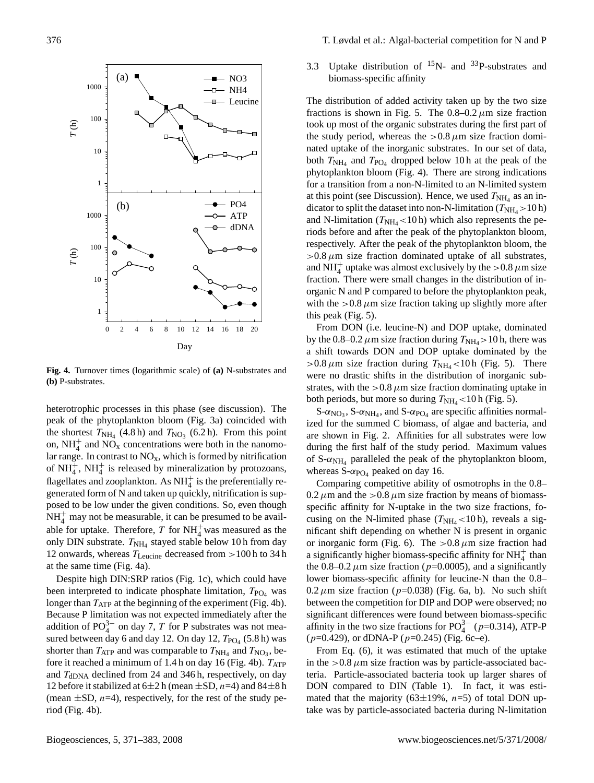

**Fig. 4.** Turnover times (logarithmic scale) of **(a)** N-substrates and **(b)** P-substrates.

heterotrophic processes in this phase (see discussion). The peak of the phytoplankton bloom (Fig. 3a) coincided with the shortest  $T_{NH_4}$  (4.8 h) and  $T_{NO_3}$  (6.2 h). From this point on,  $NH_4^+$  and  $NO_x$  concentrations were both in the nanomolar range. In contrast to  $NO<sub>x</sub>$ , which is formed by nitrification of  $NH_4^+$ ,  $NH_4^+$  is released by mineralization by protozoans, flagellates and zooplankton. As  $NH<sub>4</sub><sup>+</sup>$  is the preferentially regenerated form of N and taken up quickly, nitrification is supposed to be low under the given conditions. So, even though  $NH<sub>4</sub><sup>+</sup>$  may not be measurable, it can be presumed to be available for uptake. Therefore, T for  $NH_4^+$  was measured as the only DIN substrate.  $T_{NH_4}$  stayed stable below 10 h from day 12 onwards, whereas  $T_{\text{Leucine}}$  decreased from  $>100$  h to 34 h at the same time (Fig. 4a).

Despite high DIN:SRP ratios (Fig. 1c), which could have been interpreted to indicate phosphate limitation,  $T_{PO_4}$  was longer than  $T_{ATP}$  at the beginning of the experiment (Fig. 4b). Because P limitation was not expected immediately after the addition of  $PO_4^{3-}$  on day 7, T for P substrates was not measured between day 6 and day 12. On day 12,  $T_{\text{PO}_4}$  (5.8 h) was shorter than  $T_{\text{ATP}}$  and was comparable to  $T_{\text{NH}_4}$  and  $T_{\text{NO}_3}$ , before it reached a minimum of 1.4 h on day 16 (Fig. 4b).  $T_{ATP}$ and  $T_{\text{dDNA}}$  declined from 24 and 346 h, respectively, on day 12 before it stabilized at  $6\pm 2$  h (mean  $\pm$ SD,  $n=4$ ) and  $84\pm 8$  h (mean  $\pm$ SD, *n*=4), respectively, for the rest of the study period (Fig. 4b).

3.3 Uptake distribution of  $^{15}N$ - and  $^{33}P$ -substrates and biomass-specific affinity

The distribution of added activity taken up by the two size fractions is shown in Fig. 5. The  $0.8-0.2 \mu m$  size fraction took up most of the organic substrates during the first part of the study period, whereas the  $>0.8 \mu$ m size fraction dominated uptake of the inorganic substrates. In our set of data, both  $T_{\text{NH}_4}$  and  $T_{\text{PO}_4}$  dropped below 10 h at the peak of the phytoplankton bloom (Fig. 4). There are strong indications for a transition from a non-N-limited to an N-limited system at this point (see Discussion). Hence, we used  $T_{NH_4}$  as an indicator to split the dataset into non-N-limitation ( $T_{\text{NH}_4}$  > 10 h) and N-limitation ( $T_{\text{NH}_4}$  < 10 h) which also represents the periods before and after the peak of the phytoplankton bloom, respectively. After the peak of the phytoplankton bloom, the  $>0.8 \mu$ m size fraction dominated uptake of all substrates, and NH<sup>+</sup> uptake was almost exclusively by the >0.8  $\mu$ m size fraction. There were small changes in the distribution of inorganic N and P compared to before the phytoplankton peak, with the  $>0.8 \mu$ m size fraction taking up slightly more after this peak (Fig. 5).

From DON (i.e. leucine-N) and DOP uptake, dominated by the 0.8–0.2  $\mu$ m size fraction during  $T_{\text{NH}_4} > 10$  h, there was a shift towards DON and DOP uptake dominated by the  $>0.8 \mu$ m size fraction during  $T_{\text{NH}_4}$  < 10 h (Fig. 5). There were no drastic shifts in the distribution of inorganic substrates, with the  $> 0.8 \mu$ m size fraction dominating uptake in both periods, but more so during  $T_{\text{NH}_4}$  < 10 h (Fig. 5).

S- $\alpha_{\text{NO}_3}$ , S- $\alpha_{\text{NH}_4}$ , and S- $\alpha_{\text{PO}_4}$  are specific affinities normalized for the summed C biomass, of algae and bacteria, and are shown in Fig. 2. Affinities for all substrates were low during the first half of the study period. Maximum values of  $S$ - $\alpha_{NH_4}$  paralleled the peak of the phytoplankton bloom, whereas  $S$ - $\alpha_{\text{PO}_4}$  peaked on day 16.

Comparing competitive ability of osmotrophs in the 0.8–  $0.2 \mu$ m and the >0.8  $\mu$ m size fraction by means of biomassspecific affinity for N-uptake in the two size fractions, focusing on the N-limited phase  $(T<sub>NH4</sub> < 10 h)$ , reveals a significant shift depending on whether N is present in organic or inorganic form (Fig. 6). The  $> 0.8 \mu$ m size fraction had a significantly higher biomass-specific affinity for  $\mathrm{NH}_4^+$  than the 0.8–0.2  $\mu$ m size fraction (p=0.0005), and a significantly lower biomass-specific affinity for leucine-N than the 0.8–  $0.2 \mu$ m size fraction (p=0.038) (Fig. 6a, b). No such shift between the competition for DIP and DOP were observed; no significant differences were found between biomass-specific affinity in the two size fractions for  $PO_4^{3-}$  ( $p=0.314$ ), ATP-P  $(p=0.429)$ , or dDNA-P  $(p=0.245)$  (Fig. 6c–e).

From Eq. (6), it was estimated that much of the uptake in the  $>0.8 \mu$ m size fraction was by particle-associated bacteria. Particle-associated bacteria took up larger shares of DON compared to DIN (Table 1). In fact, it was estimated that the majority (63 $\pm$ 19%, n=5) of total DON uptake was by particle-associated bacteria during N-limitation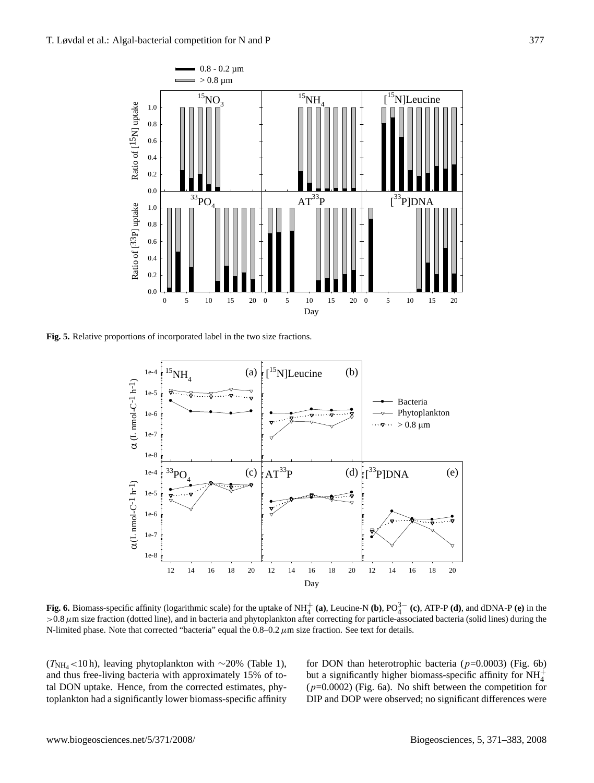

**Fig. 5.** Relative proportions of incorporated label in the two size fractions.



**Fig. 6.** Biomass-specific affinity (logarithmic scale) for the uptake of NH<sup>+</sup><sub>4</sub> (a), Leucine-N (b),  $PO_4^{3-}$  (c), ATP-P (d), and dDNA-P (e) in the  $>0.8 \mu$ m size fraction (dotted line), and in bacteria and phytoplankton after correcting for particle-associated bacteria (solid lines) during the N-limited phase. Note that corrected "bacteria" equal the  $0.8-0.2 \mu$ m size fraction. See text for details.

 $(T<sub>NH<sub>4</sub></sub> < 10 h)$ , leaving phytoplankton with ∼20% (Table 1), and thus free-living bacteria with approximately 15% of total DON uptake. Hence, from the corrected estimates, phytoplankton had a significantly lower biomass-specific affinity for DON than heterotrophic bacteria ( $p=0.0003$ ) (Fig. 6b) but a significantly higher biomass-specific affinity for  $NH_4^+$  $(p=0.0002)$  (Fig. 6a). No shift between the competition for DIP and DOP were observed; no significant differences were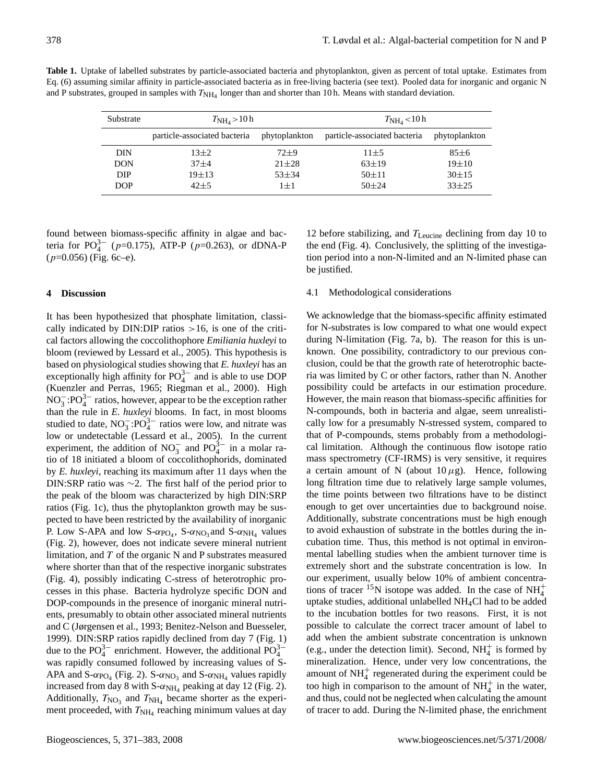**Table 1.** Uptake of labelled substrates by particle-associated bacteria and phytoplankton, given as percent of total uptake. Estimates from Eq. (6) assuming similar affinity in particle-associated bacteria as in free-living bacteria (see text). Pooled data for inorganic and organic N

and P substrates, grouped in samples with  $T_{NH_4}$  longer than and shorter than 10 h. Means with standard deviation.

| Substrate  | $T_{\text{NH}_4}$ > 10 h     |               | $T_{\rm NH_4}$ < 10 h        |               |
|------------|------------------------------|---------------|------------------------------|---------------|
|            | particle-associated bacteria | phytoplankton | particle-associated bacteria | phytoplankton |
| <b>DIN</b> | $13\pm2$                     | $72 + 9$      | $11\pm5$                     | $85 \pm 6$    |
| <b>DON</b> | $37 + 4$                     | $21 \pm 28$   | $63 \pm 19$                  | $19 \pm 10$   |
| <b>DIP</b> | $19 + 13$                    | $53 + 34$     | $50 + 11$                    | $30 \pm 15$   |
| <b>DOP</b> | $42 + 5$                     | $1+1$         | $50 + 24$                    | $33 + 25$     |

found between biomass-specific affinity in algae and bacteria for  $PO_4^{3-}$  ( $p=0.175$ ), ATP-P ( $p=0.263$ ), or dDNA-P  $(p=0.056)$  (Fig. 6c–e).

## **4 Discussion**

It has been hypothesized that phosphate limitation, classically indicated by  $DIN: DIP$  ratios  $>16$ , is one of the critical factors allowing the coccolithophore *Emiliania huxleyi* to bloom (reviewed by Lessard et al., 2005). This hypothesis is based on physiological studies showing that *E. huxleyi* has an exceptionally high affinity for  $PO_4^{3-}$  and is able to use DOP (Kuenzler and Perras, 1965; Riegman et al., 2000). High  $NO_3^-$ : $PO_4^{3-}$  ratios, however, appear to be the exception rather than the rule in *E. huxleyi* blooms. In fact, in most blooms studied to date,  $NO_3^-$ : $PO_4^{3-}$  ratios were low, and nitrate was low or undetectable (Lessard et al., 2005). In the current experiment, the addition of  $NO_3^-$  and  $PO_4^{3-}$  in a molar ratio of 18 initiated a bloom of coccolithophorids, dominated by *E. huxleyi*, reaching its maximum after 11 days when the DIN:SRP ratio was ∼2. The first half of the period prior to the peak of the bloom was characterized by high DIN:SRP ratios (Fig. 1c), thus the phytoplankton growth may be suspected to have been restricted by the availability of inorganic P. Low S-APA and low  $S-\alpha_{PO_4}$ ,  $S-\alpha_{NO_3}$  and  $S-\alpha_{NH_4}$  values (Fig. 2), however, does not indicate severe mineral nutrient limitation, and  $T$  of the organic N and P substrates measured where shorter than that of the respective inorganic substrates (Fig. 4), possibly indicating C-stress of heterotrophic processes in this phase. Bacteria hydrolyze specific DON and DOP-compounds in the presence of inorganic mineral nutrients, presumably to obtain other associated mineral nutrients and C (Jørgensen et al., 1993; Benitez-Nelson and Buesseler, 1999). DIN:SRP ratios rapidly declined from day 7 (Fig. 1) due to the  $PO_4^{3-}$  enrichment. However, the additional  $PO_4^{3-}$ was rapidly consumed followed by increasing values of S-APA and  $S$ - $\alpha_{\text{PO}_4}$  (Fig. 2).  $S$ - $\alpha_{\text{NO}_3}$  and  $S$ - $\alpha_{\text{NH}_4}$  values rapidly increased from day 8 with  $S$ - $\alpha_{NH_4}$  peaking at day 12 (Fig. 2). Additionally,  $T_{\text{NO}_3}$  and  $T_{\text{NH}_4}$  became shorter as the experiment proceeded, with  $T_{\text{NH}_4}$  reaching minimum values at day

12 before stabilizing, and  $T_{\text{Leucine}}$  declining from day 10 to the end (Fig. 4). Conclusively, the splitting of the investigation period into a non-N-limited and an N-limited phase can be justified.

### 4.1 Methodological considerations

We acknowledge that the biomass-specific affinity estimated for N-substrates is low compared to what one would expect during N-limitation (Fig. 7a, b). The reason for this is unknown. One possibility, contradictory to our previous conclusion, could be that the growth rate of heterotrophic bacteria was limited by C or other factors, rather than N. Another possibility could be artefacts in our estimation procedure. However, the main reason that biomass-specific affinities for N-compounds, both in bacteria and algae, seem unrealistically low for a presumably N-stressed system, compared to that of P-compounds, stems probably from a methodological limitation. Although the continuous flow isotope ratio mass spectrometry (CF-IRMS) is very sensitive, it requires a certain amount of N (about  $10 \mu$ g). Hence, following long filtration time due to relatively large sample volumes, the time points between two filtrations have to be distinct enough to get over uncertainties due to background noise. Additionally, substrate concentrations must be high enough to avoid exhaustion of substrate in the bottles during the incubation time. Thus, this method is not optimal in environmental labelling studies when the ambient turnover time is extremely short and the substrate concentration is low. In our experiment, usually below 10% of ambient concentrations of tracer <sup>15</sup>N isotope was added. In the case of  $NH_4^+$ uptake studies, additional unlabelled NH4Cl had to be added to the incubation bottles for two reasons. First, it is not possible to calculate the correct tracer amount of label to add when the ambient substrate concentration is unknown (e.g., under the detection limit). Second,  $NH<sub>4</sub><sup>+</sup>$  is formed by mineralization. Hence, under very low concentrations, the amount of  $NH<sub>4</sub><sup>+</sup>$  regenerated during the experiment could be too high in comparison to the amount of  $NH<sub>4</sub><sup>+</sup>$  in the water, and thus, could not be neglected when calculating the amount of tracer to add. During the N-limited phase, the enrichment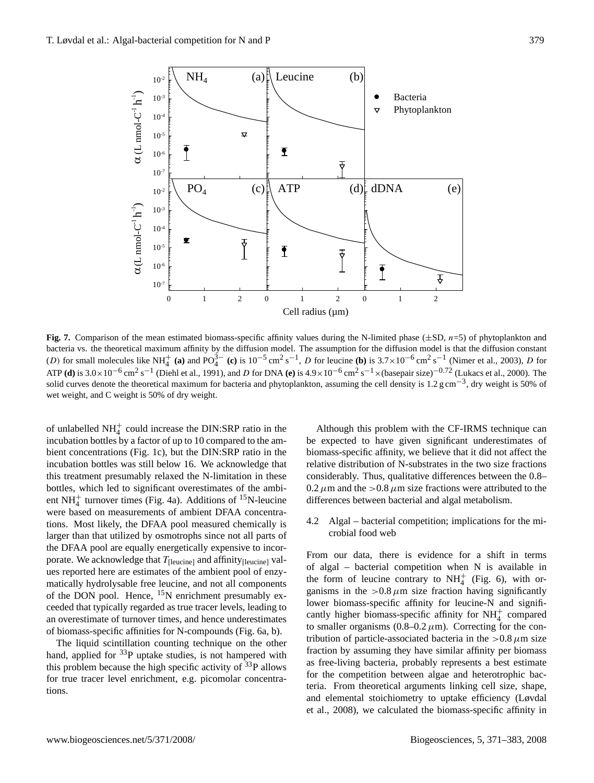

**Fig. 7.** Comparison of the mean estimated biomass-specific affinity values during the N-limited phase  $(\pm SD, n=5)$  of phytoplankton and bacteria vs. the theoretical maximum affinity by the diffusion model. The assumption for the diffusion model is that the diffusion constant (D) for small molecules like NH<sup>+</sup> (a) and PO<sub>4</sub><sup>3-</sup> (c) is 10<sup>-5</sup> cm<sup>2</sup> s<sup>-1</sup>, D for leucine (b) is 3.7×10<sup>-6</sup> cm<sup>2</sup> s<sup>-1</sup> (Nimer et al., 2003), D for ATP **(d)** is  $3.0 \times 10^{-6}$  cm<sup>2</sup> s<sup>-1</sup> (Diehl et al., 1991), and D for DNA **(e)** is  $4.9 \times 10^{-6}$  cm<sup>2</sup> s<sup>-1</sup>  $\times$  (basepair size)<sup>-0.72</sup> (Lukacs et al., 2000). The solid curves denote the theoretical maximum for bacteria and phytoplankton, assuming the cell density is 1.2 g cm<sup>-3</sup>, dry weight is 50% of wet weight, and C weight is 50% of dry weight.

of biomass-specific affinities for N-compounds (Fig. 6a, b). of unlabelled  $NH_4^+$  could increase the DIN:SRP ratio in the incubation bottles by a factor of up to 10 compared to the ambient concentrations (Fig. 1c), but the DIN:SRP ratio in the incubation bottles was still below 16. We acknowledge that this treatment presumably relaxed the N-limitation in these bottles, which led to significant overestimates of the ambient NH $_4^+$  turnover times (Fig. 4a). Additions of <sup>15</sup>N-leucine were based on measurements of ambient DFAA concentrations. Most likely, the DFAA pool measured chemically is larger than that utilized by osmotrophs since not all parts of the DFAA pool are equally energetically expensive to incorporate. We acknowledge that  $T_{\text{[leucine]}}$  and affinity $_{\text{[leucine]}}$  values reported here are estimates of the ambient pool of enzymatically hydrolysable free leucine, and not all components of the DON pool. Hence, <sup>15</sup>N enrichment presumably exceeded that typically regarded as true tracer levels, leading to an overestimate of turnover times, and hence underestimates

The liquid scintillation counting technique on the other hand, applied for  $33P$  uptake studies, is not hampered with this problem because the high specific activity of  $33P$  allows for true tracer level enrichment, e.g. picomolar concentrations.

Although this problem with the CF-IRMS technique can be expected to have given significant underestimates of biomass-specific affinity, we believe that it did not affect the relative distribution of N-substrates in the two size fractions considerably. Thus, qualitative differences between the 0.8–  $0.2 \mu$ m and the  $> 0.8 \mu$ m size fractions were attributed to the differences between bacterial and algal metabolism.

4.2 Algal – bacterial competition; implications for the microbial food web

From our data, there is evidence for a shift in terms of algal – bacterial competition when N is available in the form of leucine contrary to  $NH<sub>4</sub><sup>+</sup>$  (Fig. 6), with organisms in the  $>0.8 \mu$ m size fraction having significantly lower biomass-specific affinity for leucine-N and significantly higher biomass-specific affinity for  $NH<sub>4</sub><sup>+</sup>$  compared to smaller organisms (0.8–0.2  $\mu$ m). Correcting for the contribution of particle-associated bacteria in the  $> 0.8 \mu$ m size fraction by assuming they have similar affinity per biomass as free-living bacteria, probably represents a best estimate for the competition between algae and heterotrophic bacteria. From theoretical arguments linking cell size, shape, and elemental stoichiometry to uptake efficiency (Løvdal et al., 2008), we calculated the biomass-specific affinity in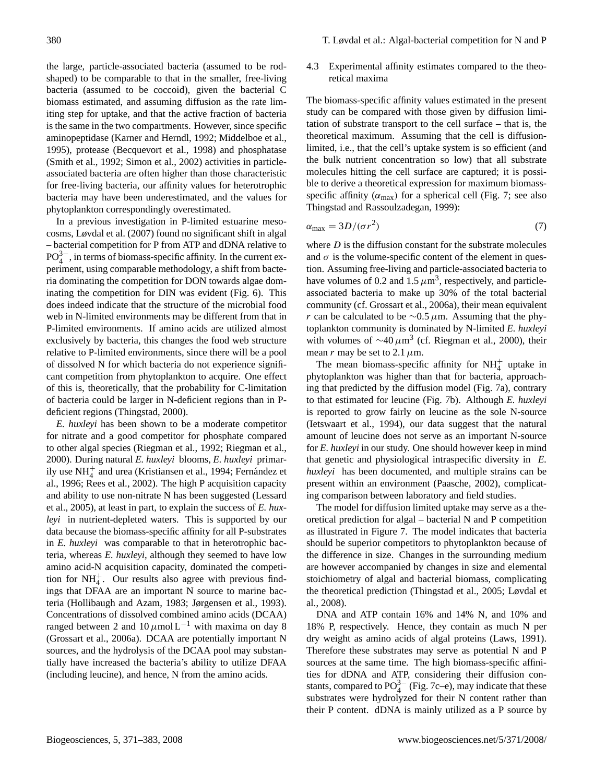the large, particle-associated bacteria (assumed to be rodshaped) to be comparable to that in the smaller, free-living bacteria (assumed to be coccoid), given the bacterial C biomass estimated, and assuming diffusion as the rate limiting step for uptake, and that the active fraction of bacteria is the same in the two compartments. However, since specific aminopeptidase (Karner and Herndl, 1992; Middelboe et al., 1995), protease (Becquevort et al., 1998) and phosphatase (Smith et al., 1992; Simon et al., 2002) activities in particleassociated bacteria are often higher than those characteristic for free-living bacteria, our affinity values for heterotrophic bacteria may have been underestimated, and the values for phytoplankton correspondingly overestimated.

In a previous investigation in P-limited estuarine mesocosms, Løvdal et al. (2007) found no significant shift in algal – bacterial competition for P from ATP and dDNA relative to  $PO_4^{3-}$ , in terms of biomass-specific affinity. In the current experiment, using comparable methodology, a shift from bacteria dominating the competition for DON towards algae dominating the competition for DIN was evident (Fig. 6). This does indeed indicate that the structure of the microbial food web in N-limited environments may be different from that in P-limited environments. If amino acids are utilized almost exclusively by bacteria, this changes the food web structure relative to P-limited environments, since there will be a pool of dissolved N for which bacteria do not experience significant competition from phytoplankton to acquire. One effect of this is, theoretically, that the probability for C-limitation of bacteria could be larger in N-deficient regions than in Pdeficient regions (Thingstad, 2000).

*E. huxleyi* has been shown to be a moderate competitor for nitrate and a good competitor for phosphate compared to other algal species (Riegman et al., 1992; Riegman et al., 2000). During natural *E. huxleyi* blooms, *E. huxleyi* primarily use  $NH_4^+$  and urea (Kristiansen et al., 1994; Fernández et al., 1996; Rees et al., 2002). The high P acquisition capacity and ability to use non-nitrate N has been suggested (Lessard et al., 2005), at least in part, to explain the success of *E. huxleyi* in nutrient-depleted waters. This is supported by our data because the biomass-specific affinity for all P-substrates in *E. huxleyi* was comparable to that in heterotrophic bacteria, whereas *E. huxleyi*, although they seemed to have low amino acid-N acquisition capacity, dominated the competition for  $NH_4^+$ . Our results also agree with previous findings that DFAA are an important N source to marine bacteria (Hollibaugh and Azam, 1983; Jørgensen et al., 1993). Concentrations of dissolved combined amino acids (DCAA) ranged between 2 and  $10 \mu$ mol L<sup>-1</sup> with maxima on day 8 (Grossart et al., 2006a). DCAA are potentially important N sources, and the hydrolysis of the DCAA pool may substantially have increased the bacteria's ability to utilize DFAA (including leucine), and hence, N from the amino acids.

4.3 Experimental affinity estimates compared to the theoretical maxima

The biomass-specific affinity values estimated in the present study can be compared with those given by diffusion limitation of substrate transport to the cell surface – that is, the theoretical maximum. Assuming that the cell is diffusionlimited, i.e., that the cell's uptake system is so efficient (and the bulk nutrient concentration so low) that all substrate molecules hitting the cell surface are captured; it is possible to derive a theoretical expression for maximum biomassspecific affinity ( $\alpha_{\text{max}}$ ) for a spherical cell (Fig. 7; see also Thingstad and Rassoulzadegan, 1999):

$$
\alpha_{\text{max}} = 3D/(\sigma r^2) \tag{7}
$$

where  $D$  is the diffusion constant for the substrate molecules and  $\sigma$  is the volume-specific content of the element in question. Assuming free-living and particle-associated bacteria to have volumes of 0.2 and 1.5  $\mu$ m<sup>3</sup>, respectively, and particleassociated bacteria to make up 30% of the total bacterial community (cf. Grossart et al., 2006a), their mean equivalent r can be calculated to be  $\sim$ 0.5  $\mu$ m. Assuming that the phytoplankton community is dominated by N-limited *E. huxleyi* with volumes of  $\sim$ 40  $\mu$ m<sup>3</sup> (cf. Riegman et al., 2000), their mean r may be set to 2.1  $\mu$ m.

The mean biomass-specific affinity for  $NH<sub>4</sub><sup>+</sup>$  uptake in phytoplankton was higher than that for bacteria, approaching that predicted by the diffusion model (Fig. 7a), contrary to that estimated for leucine (Fig. 7b). Although *E. huxleyi* is reported to grow fairly on leucine as the sole N-source (Ietswaart et al., 1994), our data suggest that the natural amount of leucine does not serve as an important N-source for *E. huxleyi* in our study. One should however keep in mind that genetic and physiological intraspecific diversity in *E. huxleyi* has been documented, and multiple strains can be present within an environment (Paasche, 2002), complicating comparison between laboratory and field studies.

The model for diffusion limited uptake may serve as a theoretical prediction for algal – bacterial N and P competition as illustrated in Figure 7. The model indicates that bacteria should be superior competitors to phytoplankton because of the difference in size. Changes in the surrounding medium are however accompanied by changes in size and elemental stoichiometry of algal and bacterial biomass, complicating the theoretical prediction (Thingstad et al., 2005; Løvdal et al., 2008).

DNA and ATP contain 16% and 14% N, and 10% and 18% P, respectively. Hence, they contain as much N per dry weight as amino acids of algal proteins (Laws, 1991). Therefore these substrates may serve as potential N and P sources at the same time. The high biomass-specific affinities for dDNA and ATP, considering their diffusion constants, compared to  $PO_4^{3-}$  (Fig. 7c–e), may indicate that these substrates were hydrolyzed for their N content rather than their P content. dDNA is mainly utilized as a P source by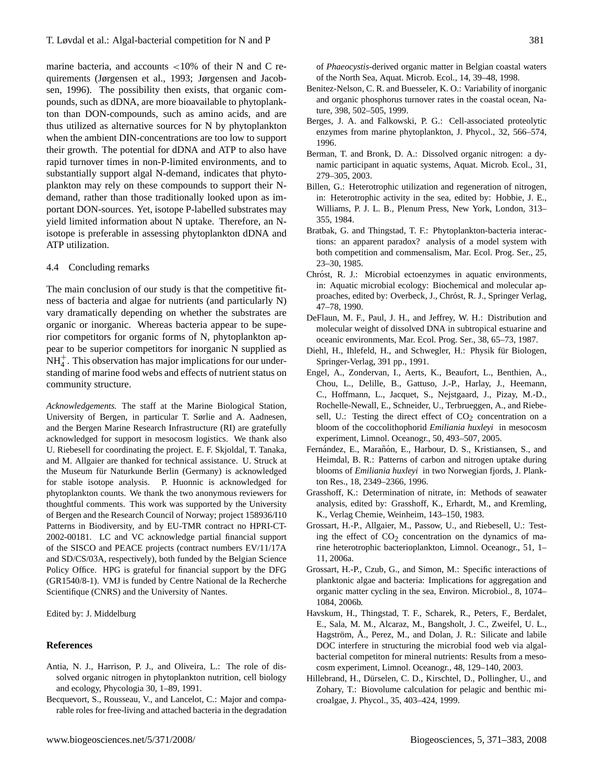marine bacteria, and accounts <10% of their N and C requirements (Jørgensen et al., 1993; Jørgensen and Jacobsen, 1996). The possibility then exists, that organic compounds, such as dDNA, are more bioavailable to phytoplankton than DON-compounds, such as amino acids, and are thus utilized as alternative sources for N by phytoplankton when the ambient DIN-concentrations are too low to support their growth. The potential for dDNA and ATP to also have rapid turnover times in non-P-limited environments, and to substantially support algal N-demand, indicates that phytoplankton may rely on these compounds to support their Ndemand, rather than those traditionally looked upon as important DON-sources. Yet, isotope P-labelled substrates may yield limited information about N uptake. Therefore, an Nisotope is preferable in assessing phytoplankton dDNA and ATP utilization.

### 4.4 Concluding remarks

The main conclusion of our study is that the competitive fitness of bacteria and algae for nutrients (and particularly N) vary dramatically depending on whether the substrates are organic or inorganic. Whereas bacteria appear to be superior competitors for organic forms of N, phytoplankton appear to be superior competitors for inorganic N supplied as  $NH<sub>4</sub><sup>+</sup>$ . This observation has major implications for our understanding of marine food webs and effects of nutrient status on community structure.

*Acknowledgements.* The staff at the Marine Biological Station, University of Bergen, in particular T. Sørlie and A. Aadnesen, and the Bergen Marine Research Infrastructure (RI) are gratefully acknowledged for support in mesocosm logistics. We thank also U. Riebesell for coordinating the project. E. F. Skjoldal, T. Tanaka, and M. Allgaier are thanked for technical assistance. U. Struck at the Museum für Naturkunde Berlin (Germany) is acknowledged for stable isotope analysis. P. Huonnic is acknowledged for phytoplankton counts. We thank the two anonymous reviewers for thoughtful comments. This work was supported by the University of Bergen and the Research Council of Norway; project 158936/I10 Patterns in Biodiversity, and by EU-TMR contract no HPRI-CT-2002-00181. LC and VC acknowledge partial financial support of the SISCO and PEACE projects (contract numbers EV/11/17A and SD/CS/03A, respectively), both funded by the Belgian Science Policy Office. HPG is grateful for financial support by the DFG (GR1540/8-1). VMJ is funded by Centre National de la Recherche Scientifique (CNRS) and the University of Nantes.

Edited by: J. Middelburg

## **References**

- Antia, N. J., Harrison, P. J., and Oliveira, L.: The role of dissolved organic nitrogen in phytoplankton nutrition, cell biology and ecology, Phycologia 30, 1–89, 1991.
- Becquevort, S., Rousseau, V., and Lancelot, C.: Major and comparable roles for free-living and attached bacteria in the degradation

of *Phaeocystis*-derived organic matter in Belgian coastal waters of the North Sea, Aquat. Microb. Ecol., 14, 39–48, 1998.

- Benitez-Nelson, C. R. and Buesseler, K. O.: Variability of inorganic and organic phosphorus turnover rates in the coastal ocean, Nature, 398, 502–505, 1999.
- Berges, J. A. and Falkowski, P. G.: Cell-associated proteolytic enzymes from marine phytoplankton, J. Phycol., 32, 566–574, 1996.
- Berman, T. and Bronk, D. A.: Dissolved organic nitrogen: a dynamic participant in aquatic systems, Aquat. Microb. Ecol., 31, 279–305, 2003.
- Billen, G.: Heterotrophic utilization and regeneration of nitrogen, in: Heterotrophic activity in the sea, edited by: Hobbie, J. E., Williams, P. J. L. B., Plenum Press, New York, London, 313– 355, 1984.
- Bratbak, G. and Thingstad, T. F.: Phytoplankton-bacteria interactions: an apparent paradox? analysis of a model system with both competition and commensalism, Mar. Ecol. Prog. Ser., 25, 23–30, 1985.
- Chróst, R. J.: Microbial ectoenzymes in aquatic environments, in: Aquatic microbial ecology: Biochemical and molecular approaches, edited by: Overbeck, J., Chróst, R. J., Springer Verlag, 47–78, 1990.
- DeFlaun, M. F., Paul, J. H., and Jeffrey, W. H.: Distribution and molecular weight of dissolved DNA in subtropical estuarine and oceanic environments, Mar. Ecol. Prog. Ser., 38, 65–73, 1987.
- Diehl, H., Ihlefeld, H., and Schwegler, H.: Physik für Biologen, Springer-Verlag, 391 pp., 1991.
- Engel, A., Zondervan, I., Aerts, K., Beaufort, L., Benthien, A., Chou, L., Delille, B., Gattuso, J.-P., Harlay, J., Heemann, C., Hoffmann, L., Jacquet, S., Nejstgaard, J., Pizay, M.-D., Rochelle-Newall, E., Schneider, U., Terbrueggen, A., and Riebesell, U.: Testing the direct effect of  $CO<sub>2</sub>$  concentration on a bloom of the coccolithophorid *Emiliania huxleyi* in mesocosm experiment, Limnol. Oceanogr., 50, 493–507, 2005.
- Fernández, E., Marañón, E., Harbour, D. S., Kristiansen, S., and Heimdal, B. R.: Patterns of carbon and nitrogen uptake during blooms of *Emiliania huxleyi* in two Norwegian fjords, J. Plankton Res., 18, 2349–2366, 1996.
- Grasshoff, K.: Determination of nitrate, in: Methods of seawater analysis, edited by: Grasshoff, K., Erhardt, M., and Kremling, K., Verlag Chemie, Weinheim, 143–150, 1983.
- Grossart, H.-P., Allgaier, M., Passow, U., and Riebesell, U.: Testing the effect of  $CO<sub>2</sub>$  concentration on the dynamics of marine heterotrophic bacterioplankton, Limnol. Oceanogr., 51, 1– 11, 2006a.
- Grossart, H.-P., Czub, G., and Simon, M.: Specific interactions of planktonic algae and bacteria: Implications for aggregation and organic matter cycling in the sea, Environ. Microbiol., 8, 1074– 1084, 2006b.
- Havskum, H., Thingstad, T. F., Scharek, R., Peters, F., Berdalet, E., Sala, M. M., Alcaraz, M., Bangsholt, J. C., Zweifel, U. L., Hagström, Å., Perez, M., and Dolan, J. R.: Silicate and labile DOC interfere in structuring the microbial food web via algalbacterial competiton for mineral nutrients: Results from a mesocosm experiment, Limnol. Oceanogr., 48, 129–140, 2003.
- Hillebrand, H., Dürselen, C. D., Kirschtel, D., Pollingher, U., and Zohary, T.: Biovolume calculation for pelagic and benthic microalgae, J. Phycol., 35, 403–424, 1999.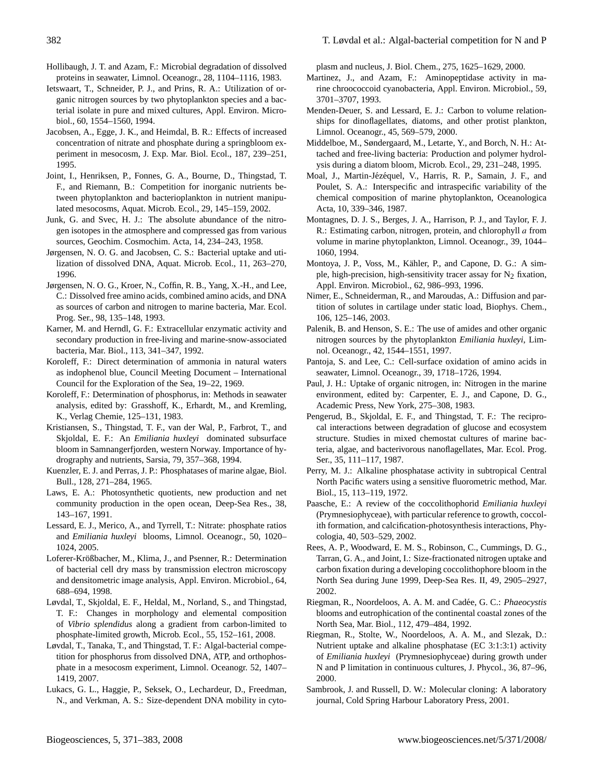- Hollibaugh, J. T. and Azam, F.: Microbial degradation of dissolved proteins in seawater, Limnol. Oceanogr., 28, 1104–1116, 1983.
- Ietswaart, T., Schneider, P. J., and Prins, R. A.: Utilization of organic nitrogen sources by two phytoplankton species and a bacterial isolate in pure and mixed cultures, Appl. Environ. Microbiol., 60, 1554–1560, 1994.
- Jacobsen, A., Egge, J. K., and Heimdal, B. R.: Effects of increased concentration of nitrate and phosphate during a springbloom experiment in mesocosm, J. Exp. Mar. Biol. Ecol., 187, 239–251, 1995.
- Joint, I., Henriksen, P., Fonnes, G. A., Bourne, D., Thingstad, T. F., and Riemann, B.: Competition for inorganic nutrients between phytoplankton and bacterioplankton in nutrient manipulated mesocosms, Aquat. Microb. Ecol., 29, 145–159, 2002.
- Junk, G. and Svec, H. J.: The absolute abundance of the nitrogen isotopes in the atmosphere and compressed gas from various sources, Geochim. Cosmochim. Acta, 14, 234–243, 1958.
- Jørgensen, N. O. G. and Jacobsen, C. S.: Bacterial uptake and utilization of dissolved DNA, Aquat. Microb. Ecol., 11, 263–270, 1996.
- Jørgensen, N. O. G., Kroer, N., Coffin, R. B., Yang, X.-H., and Lee, C.: Dissolved free amino acids, combined amino acids, and DNA as sources of carbon and nitrogen to marine bacteria, Mar. Ecol. Prog. Ser., 98, 135–148, 1993.
- Karner, M. and Herndl, G. F.: Extracellular enzymatic activity and secondary production in free-living and marine-snow-associated bacteria, Mar. Biol., 113, 341–347, 1992.
- Koroleff, F.: Direct determination of ammonia in natural waters as indophenol blue, Council Meeting Document – International Council for the Exploration of the Sea, 19–22, 1969.
- Koroleff, F.: Determination of phosphorus, in: Methods in seawater analysis, edited by: Grasshoff, K., Erhardt, M., and Kremling, K., Verlag Chemie, 125–131, 1983.
- Kristiansen, S., Thingstad, T. F., van der Wal, P., Farbrot, T., and Skjoldal, E. F.: An *Emiliania huxleyi* dominated subsurface bloom in Samnangerfjorden, western Norway. Importance of hydrography and nutrients, Sarsia, 79, 357–368, 1994.
- Kuenzler, E. J. and Perras, J. P.: Phosphatases of marine algae, Biol. Bull., 128, 271–284, 1965.
- Laws, E. A.: Photosynthetic quotients, new production and net community production in the open ocean, Deep-Sea Res., 38, 143–167, 1991.
- Lessard, E. J., Merico, A., and Tyrrell, T.: Nitrate: phosphate ratios and *Emiliania huxleyi* blooms, Limnol. Oceanogr., 50, 1020– 1024, 2005.
- Loferer-Krößbacher, M., Klima, J., and Psenner, R.: Determination of bacterial cell dry mass by transmission electron microscopy and densitometric image analysis, Appl. Environ. Microbiol., 64, 688–694, 1998.
- Løvdal, T., Skjoldal, E. F., Heldal, M., Norland, S., and Thingstad, T. F.: Changes in morphology and elemental composition of *Vibrio splendidus* along a gradient from carbon-limited to phosphate-limited growth, Microb. Ecol., 55, 152–161, 2008.
- Løvdal, T., Tanaka, T., and Thingstad, T. F.: Algal-bacterial competition for phosphorus from dissolved DNA, ATP, and orthophosphate in a mesocosm experiment, Limnol. Oceanogr. 52, 1407– 1419, 2007.
- Lukacs, G. L., Haggie, P., Seksek, O., Lechardeur, D., Freedman, N., and Verkman, A. S.: Size-dependent DNA mobility in cyto-

plasm and nucleus, J. Biol. Chem., 275, 1625–1629, 2000.

- Martinez, J., and Azam, F.: Aminopeptidase activity in marine chroococcoid cyanobacteria, Appl. Environ. Microbiol., 59, 3701–3707, 1993.
- Menden-Deuer, S. and Lessard, E. J.: Carbon to volume relationships for dinoflagellates, diatoms, and other protist plankton, Limnol. Oceanogr., 45, 569–579, 2000.
- Middelboe, M., Søndergaard, M., Letarte, Y., and Borch, N. H.: Attached and free-living bacteria: Production and polymer hydrolysis during a diatom bloom, Microb. Ecol., 29, 231–248, 1995.
- Moal, J., Martin-Jézéquel, V., Harris, R. P., Samain, J. F., and Poulet, S. A.: Interspecific and intraspecific variability of the chemical composition of marine phytoplankton, Oceanologica Acta, 10, 339–346, 1987.
- Montagnes, D. J. S., Berges, J. A., Harrison, P. J., and Taylor, F. J. R.: Estimating carbon, nitrogen, protein, and chlorophyll  $a$  from volume in marine phytoplankton, Limnol. Oceanogr., 39, 1044– 1060, 1994.
- Montoya, J. P., Voss, M., Kähler, P., and Capone, D. G.: A simple, high-precision, high-sensitivity tracer assay for  $N_2$  fixation, Appl. Environ. Microbiol., 62, 986–993, 1996.
- Nimer, E., Schneiderman, R., and Maroudas, A.: Diffusion and partition of solutes in cartilage under static load, Biophys. Chem., 106, 125–146, 2003.
- Palenik, B. and Henson, S. E.: The use of amides and other organic nitrogen sources by the phytoplankton *Emiliania huxleyi*, Limnol. Oceanogr., 42, 1544–1551, 1997.
- Pantoja, S. and Lee, C.: Cell-surface oxidation of amino acids in seawater, Limnol. Oceanogr., 39, 1718–1726, 1994.
- Paul, J. H.: Uptake of organic nitrogen, in: Nitrogen in the marine environment, edited by: Carpenter, E. J., and Capone, D. G., Academic Press, New York, 275–308, 1983.
- Pengerud, B., Skjoldal, E. F., and Thingstad, T. F.: The reciprocal interactions between degradation of glucose and ecosystem structure. Studies in mixed chemostat cultures of marine bacteria, algae, and bacterivorous nanoflagellates, Mar. Ecol. Prog. Ser., 35, 111–117, 1987.
- Perry, M. J.: Alkaline phosphatase activity in subtropical Central North Pacific waters using a sensitive fluorometric method, Mar. Biol., 15, 113–119, 1972.
- Paasche, E.: A review of the coccolithophorid *Emiliania huxleyi* (Prymnesiophyceae), with particular reference to growth, coccolith formation, and calcification-photosynthesis interactions, Phycologia, 40, 503–529, 2002.
- Rees, A. P., Woodward, E. M. S., Robinson, C., Cummings, D. G., Tarran, G. A., and Joint, I.: Size-fractionated nitrogen uptake and carbon fixation during a developing coccolithophore bloom in the North Sea during June 1999, Deep-Sea Res. II, 49, 2905–2927, 2002.
- Riegman, R., Noordeloos, A. A. M. and Cadée, G. C.: *Phaeocystis* blooms and eutrophication of the continental coastal zones of the North Sea, Mar. Biol., 112, 479–484, 1992.
- Riegman, R., Stolte, W., Noordeloos, A. A. M., and Slezak, D.: Nutrient uptake and alkaline phosphatase (EC 3:1:3:1) activity of *Emiliania huxleyi* (Prymnesiophyceae) during growth under N and P limitation in continuous cultures, J. Phycol., 36, 87–96, 2000.
- Sambrook, J. and Russell, D. W.: Molecular cloning: A laboratory journal, Cold Spring Harbour Laboratory Press, 2001.